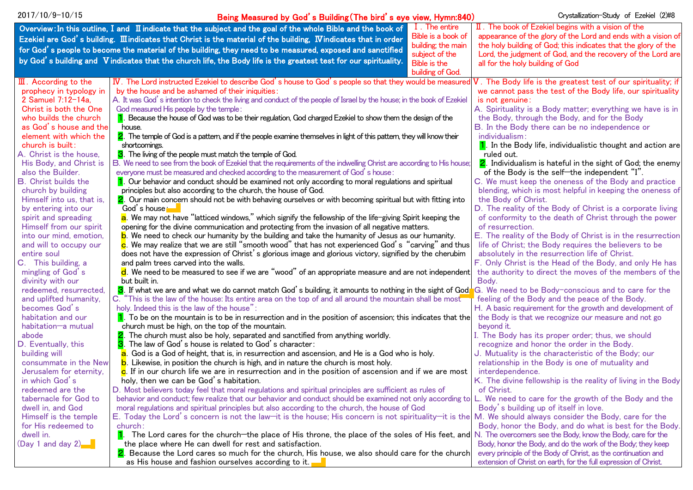| 2017/10/9-10/15                             | Being Measured by God's Building (The bird's eye view, Hymn:840)                                                                                                 |                    | Crystallization-Study of Ezekiel (2)#8                                    |
|---------------------------------------------|------------------------------------------------------------------------------------------------------------------------------------------------------------------|--------------------|---------------------------------------------------------------------------|
|                                             | Overview: In this outline, I and II indicate that the subject and the goal of the whole Bible and the book of                                                    | I. The entire      | $\mathbb I$ . The book of Ezekiel begins with a vision of the             |
|                                             | Ezekiel are God's building. III indicates that Christ is the material of the building, IV indicates that in order                                                | Bible is a book of | appearance of the glory of the Lord and ends with a vision of             |
|                                             | for God's people to become the material of the building, they need to be measured, exposed and sanctified                                                        | building; the main | the holy building of God; this indicates that the glory of the            |
|                                             |                                                                                                                                                                  | subject of the     | Lord, the judgment of God, and the recovery of the Lord are               |
|                                             | by God's building and Vindicates that the church life, the Body life is the greatest test for our spirituality.                                                  | Bible is the       | all for the holy building of God                                          |
|                                             |                                                                                                                                                                  | building of God.   |                                                                           |
| $\mathbb{II}$ . According to the            | IV. The Lord instructed Ezekiel to describe God's house to God's people so that they would be measured                                                           |                    | V. The Body life is the greatest test of our spirituality; if             |
| prophecy in typology in                     | by the house and be ashamed of their iniquities:                                                                                                                 |                    | we cannot pass the test of the Body life, our spirituality                |
| 2 Samuel 7:12-14a,                          | A. It was God's intention to check the living and conduct of the people of Israel by the house; in the book of Ezekiel                                           |                    | is not genuine:                                                           |
| Christ is both the One                      | God measured His people by the temple:                                                                                                                           |                    | A. Spirituality is a Body matter; everything we have is in                |
| who builds the church                       | 1. Because the house of God was to be their regulation, God charged Ezekiel to show them the design of the                                                       |                    | the Body, through the Body, and for the Body                              |
| as God's house and the                      | house.                                                                                                                                                           |                    | B. In the Body there can be no independence or                            |
| element with which the                      | 2. The temple of God is a pattern, and if the people examine themselves in light of this pattern, they will know their                                           |                    | individualism:                                                            |
| church is built:<br>A. Christ is the house, | shortcomings.<br>3. The living of the people must match the temple of God.                                                                                       |                    | 1. In the Body life, individualistic thought and action are<br>ruled out. |
| His Body, and Christ is                     | B. We need to see from the book of Ezekiel that the requirements of the indwelling Christ are according to His house;                                            |                    | 2. Individualism is hateful in the sight of God; the enemy                |
| also the Builder.                           | everyone must be measured and checked according to the measurement of God's house:                                                                               |                    | of the Body is the self-the independent "I".                              |
| <b>B.</b> Christ builds the                 | 1. Our behavior and conduct should be examined not only according to moral regulations and spiritual                                                             |                    | C. We must keep the oneness of the Body and practice                      |
| church by building                          | principles but also according to the church, the house of God.                                                                                                   |                    | blending, which is most helpful in keeping the oneness of                 |
| Himself into us, that is,                   | 2. Our main concern should not be with behaving ourselves or with becoming spiritual but with fitting into                                                       |                    | the Body of Christ.                                                       |
| by entering into our                        | God's house <del>⊢</del>                                                                                                                                         |                    | D. The reality of the Body of Christ is a corporate living                |
| spirit and spreading                        | a. We may not have "latticed windows," which signify the fellowship of the life-giving Spirit keeping the                                                        |                    | of conformity to the death of Christ through the power                    |
| Himself from our spirit                     | opening for the divine communication and protecting from the invasion of all negative matters.                                                                   |                    | of resurrection.                                                          |
| into our mind, emotion,                     | b. We need to check our humanity by the building and take the humanity of Jesus as our humanity.                                                                 |                    | E. The reality of the Body of Christ is in the resurrection               |
| and will to occupy our                      | <b>c</b> . We may realize that we are still "smooth wood" that has not experienced God's "carving" and thus                                                      |                    | life of Christ; the Body requires the believers to be                     |
| entire soul                                 | does not have the expression of Christ's glorious image and glorious victory, signified by the cherubim                                                          |                    | absolutely in the resurrection life of Christ.                            |
| C. This building, a                         | and palm trees carved into the walls.                                                                                                                            |                    | F. Only Christ is the Head of the Body, and only He has                   |
| mingling of God's                           | $\mathsf{d}$ . We need to be measured to see if we are "wood" of an appropriate measure and are not independent                                                  |                    | the authority to direct the moves of the members of the                   |
| divinity with our                           | but built in.                                                                                                                                                    |                    | Body.                                                                     |
| redeemed, resurrected,                      | 3. If what we are and what we do cannot match God's building, it amounts to nothing in the sight of God                                                          |                    | G. We need to be Body-conscious and to care for the                       |
| and uplifted humanity,                      | C. "This is the law of the house: Its entire area on the top of and all around the mountain shall be most                                                        |                    | feeling of the Body and the peace of the Body.                            |
| becomes God's                               | holy. Indeed this is the law of the house":                                                                                                                      |                    | H. A basic requirement for the growth and development of                  |
| habitation and our                          | $\vert \mathbf{1} \vert$ . To be on the mountain is to be in resurrection and in the position of ascension; this indicates that the                              |                    | the Body is that we recognize our measure and not go                      |
| habitation-a mutual<br>abode                | church must be high, on the top of the mountain.<br>2. The church must also be holy, separated and sanctified from anything worldly.                             |                    | beyond it.<br>I. The Body has its proper order; thus, we should           |
| D. Eventually, this                         | 3. The law of God's house is related to God's character:                                                                                                         |                    | recognize and honor the order in the Body.                                |
| building will                               | a. God is a God of height, that is, in resurrection and ascension, and He is a God who is holy.                                                                  |                    | J. Mutuality is the characteristic of the Body; our                       |
| consummate in the New                       | b. Likewise, in position the church is high, and in nature the church is most holy.                                                                              |                    | relationship in the Body is one of mutuality and                          |
| Jerusalem for eternity,                     | c. If in our church life we are in resurrection and in the position of ascension and if we are most                                                              |                    | interdependence.                                                          |
| in which God's                              | holy, then we can be God's habitation.                                                                                                                           |                    | K. The divine fellowship is the reality of living in the Body             |
| redeemed are the                            | D. Most believers today feel that moral regulations and spiritual principles are sufficient as rules of                                                          |                    | of Christ.                                                                |
| tabernacle for God to                       | behavior and conduct; few realize that our behavior and conduct should be examined not only according to L. We need to care for the growth of the Body and the   |                    |                                                                           |
| dwell in, and God                           | moral regulations and spiritual principles but also according to the church, the house of God                                                                    |                    | Body's building up of itself in love.                                     |
| Himself is the temple                       | E. Today the Lord's concern is not the law-it is the house; His concern is not spirituality-it is the M. We should always consider the Body, care for the        |                    |                                                                           |
| for His redeemed to                         | church:                                                                                                                                                          |                    | Body, honor the Body, and do what is best for the Body.                   |
| dwell in.                                   | The Lord cares for the church—the place of His throne, the place of the soles of His feet, and N. The overcomers see the Body, know the Body, care for the<br>П. |                    |                                                                           |
| (Day 1 and day 2)                           | the place where He can dwell for rest and satisfaction.                                                                                                          |                    | Body, honor the Body, and do the work of the Body; they keep              |
|                                             | 2. Because the Lord cares so much for the church, His house, we also should care for the church                                                                  |                    | every principle of the Body of Christ, as the continuation and            |
|                                             | as His house and fashion ourselves according to it.                                                                                                              |                    | extension of Christ on earth, for the full expression of Christ.          |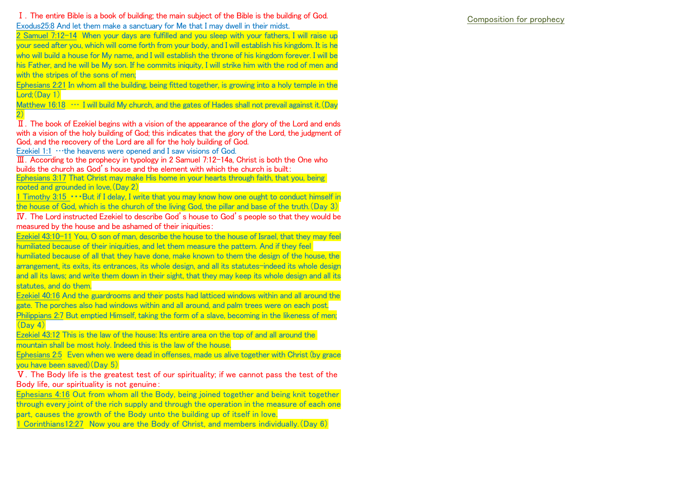Ⅰ.The entire Bible is a book of building; the main subject of the Bible is the building of God. Exodus25:8 And let them make a sanctuary for Me that I may dwell in their midst.

2 Samuel 7:12-14 When your days are fulfilled and you sleep with your fathers, I will raise up your seed after you, which will come forth from your body, and I will establish his kingdom. It is he who will build a house for My name, and I will establish the throne of his kingdom forever. I will be his Father, and he will be My son. If he commits iniquity, I will strike him with the rod of men and with the strines of the sons of men;

Ephesians 2:21 In whom all the building, being fitted together, is growing into a holy temple in the Lord: (Day 1)

Matthew 16:18  $\cdots$  I will build My church, and the gates of Hades shall not prevail against it. (Day  $2)$ 

 $\overline{II}$ . The book of Ezekiel begins with a vision of the appearance of the glory of the Lord and ends with a vision of the holy building of God; this indicates that the glory of the Lord, the judgment of God, and the recovery of the Lord are all for the holy building of God.

Ezekiel 1:1 …the heavens were opened and I saw visions of God.

 $\overline{III}$ . According to the prophecy in typology in 2 Samuel 7:12-14a. Christ is both the One who builds the church as God's house and the element with which the church is built:

Ephesians 3:17 That Christ may make His home in your hearts through faith, that you, being rooted and grounded in love. (Day 2)

1 Timothy 3:15 ・・・But if I delay, I write that you may know how one ought to conduct himself in the house of God, which is the church of the living God, the pillar and base of the truth.(Day 3)

Ⅳ.The Lord instructed Ezekiel to describe God's house to God's people so that they would be measured by the house and be ashamed of their iniquities:

Ezekiel 43:10-11 You, O son of man, describe the house to the house of Israel, that they may feel humiliated because of their iniquities, and let them measure the pattern. And if they feel

humiliated because of all that they have done, make known to them the design of the house, the arrangement, its exits, its entrances, its whole design, and all its statutes-indeed its whole design and all its laws; and write them down in their sight, that they may keep its whole design and all its statutes, and do them.

Ezekiel 40:16 And the guardrooms and their posts had latticed windows within and all around the gate. The porches also had windows within and all around, and palm trees were on each post.

Philippians 2:7 But emptied Himself, taking the form of a slave, becoming in the likeness of men;  $(Dav 4)$ 

Ezekiel 43:12 This is the law of the house: Its entire area on the top of and all around the mountain shall be most holy. Indeed this is the law of the house.

Ephesians 2:5 Even when we were dead in offenses, made us alive together with Christ (by grace you have been saved)(Day 5)

Ⅴ.The Body life is the greatest test of our spirituality; if we cannot pass the test of the Body life, our spirituality is not genuine:

Ephesians 4:16 Out from whom all the Body, being joined together and being knit together through every joint of the rich supply and through the operation in the measure of each one part, causes the growth of the Body unto the building up of itself in love.

1 Corinthians12:27 Now you are the Body of Christ, and members individually.(Day 6)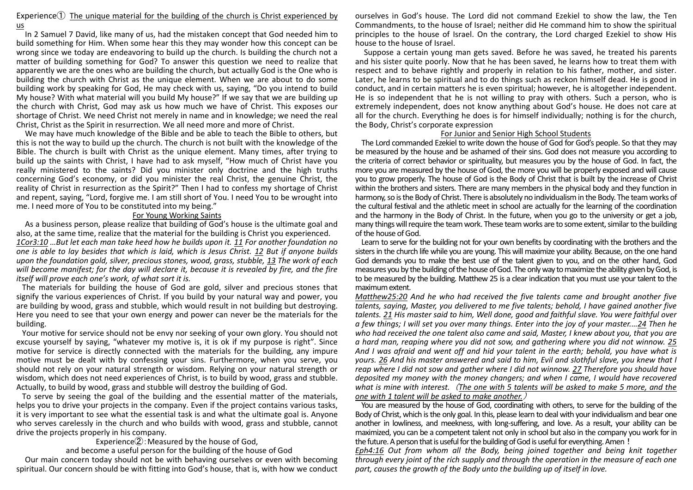## Experience $(1)$  The unique material for the building of the church is Christ experienced by us

In 2 Samuel 7 David, like many of us, had the mistaken concept that God needed him to build something for Him. When some hear this they may wonder how this concept can be wrong since we today are endeavoring to build up the church. Is building the church not a matter of building something for God? To answer this question we need to realize that apparently we are the ones who are building the church, but actually God is the One who is building the church with Christ as the unique element. When we are about to do some building work by speaking for God, He may check with us, saying, "Do you intend to build My house? With what material will you build My house?" If we say that we are building up the church with Christ, God may ask us how much we have of Christ. This exposes our shortage of Christ. We need Christ not merely in name and in knowledge; we need the real Christ, Christ as the Spirit in resurrection. We all need more and more of Christ.

We may have much knowledge of the Bible and be able to teach the Bible to others, but this is not the way to build up the church. The church is not built with the knowledge of the Bible. The church is built with Christ as the unique element. Many times, after trying to build up the saints with Christ, I have had to ask myself, "How much of Christ have you really ministered to the saints? Did you minister only doctrine and the high truths concerning God's economy, or did you minister the real Christ, the genuine Christ, the reality of Christ in resurrection as the Spirit?" Then I had to confess my shortage of Christ and repent, saying, "Lord, forgive me. I am still short of You. I need You to be wrought into me. I need more of You to be constituted into my being."

## For Young Working Saints

As a business person, please realize that building of God's house is the ultimate goal and also, at the same time, realize that the material for the building is Christ you experienced. *1Cor3:10 …But let each man take heed how he builds upon it. 11 For another foundation no one is able to lay besides that which is laid, which is Jesus Christ. 12 But if anyone builds upon the foundation gold, silver, precious stones, wood, grass, stubble, 13 The work of each will become manifest; for the day will declare it, because it is revealed by fire, and the fire itself will prove each one's work, of what sort it is.*

The materials for building the house of God are gold, silver and precious stones that signify the various experiences of Christ. If you build by your natural way and power, you are building by wood, grass and stubble, which would result in not building but destroying. Here you need to see that your own energy and power can never be the materials for the building.

Your motive for service should not be envy nor seeking of your own glory. You should not excuse yourself by saying, "whatever my motive is, it is ok if my purpose is right". Since motive for service is directly connected with the materials for the building, any impure motive must be dealt with by confessing your sins. Furthermore, when you serve, you should not rely on your natural strength or wisdom. Relying on your natural strength or wisdom, which does not need experiences of Christ, is to build by wood, grass and stubble. Actually, to build by wood, grass and stubble will destroy the building of God.

To serve by seeing the goal of the building and the essential matter of the materials, helps you to drive your projects in the company. Even if the project contains various tasks, it is very important to see what the essential task is and what the ultimate goal is. Anyone who serves carelessly in the church and who builds with wood, grass and stubble, cannot drive the projects properly in his company.

Experience $(2)$ : Measured by the house of God.

and become a useful person for the building of the house of God

Our main concern today should not be with behaving ourselves or even with becoming spiritual. Our concern should be with fitting into God's house, that is, with how we conduct ourselves in God's house. The Lord did not command Ezekiel to show the law, the Ten Commandments, to the house of Israel; neither did He command him to show the spiritual principles to the house of Israel. On the contrary, the Lord charged Ezekiel to show His house to the house of Israel.

Suppose a certain young man gets saved. Before he was saved, he treated his parents and his sister quite poorly. Now that he has been saved, he learns how to treat them with respect and to behave rightly and properly in relation to his father, mother, and sister. Later, he learns to be spiritual and to do things such as reckon himself dead. He is good in conduct, and in certain matters he is even spiritual; however, he is altogether independent. He is so independent that he is not willing to pray with others. Such a person, who is extremely independent, does not know anything about God's house. He does not care at all for the church. Everything he does is for himself individually; nothing is for the church, the Body, Christ's corporate expression

## For Junior and Senior High School Students

The Lord commanded Ezekiel to write down the house of God for God's people. So that they may be measured by the house and be ashamed of their sins. God does not measure you according to the criteria of correct behavior or spirituality, but measures you by the house of God. In fact, the more you are measured by the house of God, the more you will be properly exposed and will cause you to grow properly. The house of God is the Body of Christ that is built by the increase of Christ within the brothers and sisters. There are many members in the physical body and they function in harmony, so is the Body of Christ. There is absolutely no individualism in the Body. The team works of the cultural festival and the athletic meet in school are actually for the learning of the coordination and the harmony in the Body of Christ. In the future, when you go to the university or get a job, many things will require the team work. These team works are to some extent, similar to the building of the house of God.

Learn to serve for the building not for your own benefits by coordinating with the brothers and the sisters in the church life while you are young. This will maximize your ability. Because, on the one hand God demands you to make the best use of the talent given to you, and on the other hand, God measures you by the building of the house of God. The only way to maximize the ability given by God, is to be measured by the building. Matthew 25 is a clear indication that you must use your talent to the maximum extent.

*Matthew25:20 And he who had received the five talents came and brought another five talents, saying, Master, you delivered to me five talents; behold, I have gained another five talents. 21 His master said to him, Well done, good and faithful slave. You were faithful over a few things; I will set you over many things. Enter into the joy of your master.…24 Then he who had received the one talent also came and said, Master, I knew about you, that you are a hard man, reaping where you did not sow, and gathering where you did not winnow. 25 And I was afraid and went off and hid your talent in the earth; behold, you have what is yours. 26 And his master answered and said to him, Evil and slothful slave, you knew that I reap where I did not sow and gather where I did not winnow. 27 Therefore you should have deposited my money with the money changers; and when I came, I would have recovered what is mine with interest.* (*The one with 5 talents will be asked to make 5 more, and the one with 1 talent will be asked to make another.*)

You are measured by the house of God, coordinating with others, to serve for the building of the Body of Christ, which is the only goal. In this, please learn to deal with your individualism and bear one another in lowliness, and meekness, with long-suffering, and love. As a result, your ability can be maximized, you can be a competent talent not only in school but also in the company you work for in the future. A person that is useful for the building of God is useful for everything. Amen!

*Eph4:16 Out from whom all the Body, being joined together and being knit together through every joint of the rich supply and through the operation in the measure of each one part, causes the growth of the Body unto the building up of itself in love.*